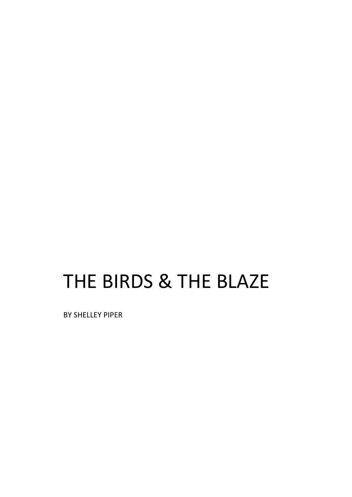## THE BIRDS & THE BLAZE

BY SHELLEY PIPER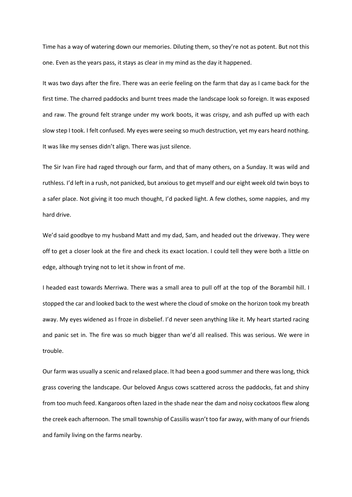Time has a way of watering down our memories. Diluting them, so they're not as potent. But not this one. Even as the years pass, it stays as clear in my mind as the day it happened.

It was two days after the fire. There was an eerie feeling on the farm that day as I came back for the first time. The charred paddocks and burnt trees made the landscape look so foreign. It was exposed and raw. The ground felt strange under my work boots, it was crispy, and ash puffed up with each slow step I took. I felt confused. My eyes were seeing so much destruction, yet my ears heard nothing. It was like my senses didn't align. There was just silence.

The Sir Ivan Fire had raged through our farm, and that of many others, on a Sunday. It was wild and ruthless. I'd left in a rush, not panicked, but anxious to get myself and our eight week old twin boys to a safer place. Not giving it too much thought, I'd packed light. A few clothes, some nappies, and my hard drive.

We'd said goodbye to my husband Matt and my dad, Sam, and headed out the driveway. They were off to get a closer look at the fire and check its exact location. I could tell they were both a little on edge, although trying not to let it show in front of me.

I headed east towards Merriwa. There was a small area to pull off at the top of the Borambil hill. I stopped the car and looked back to the west where the cloud of smoke on the horizon took my breath away. My eyes widened as I froze in disbelief. I'd never seen anything like it. My heart started racing and panic set in. The fire was so much bigger than we'd all realised. This was serious. We were in trouble.

Our farm was usually a scenic and relaxed place. It had been a good summer and there was long, thick grass covering the landscape. Our beloved Angus cows scattered across the paddocks, fat and shiny from too much feed. Kangaroos often lazed in the shade near the dam and noisy cockatoos flew along the creek each afternoon. The small township of Cassilis wasn't too far away, with many of our friends and family living on the farms nearby.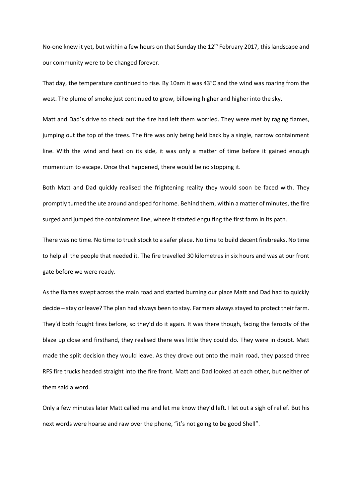No-one knew it yet, but within a few hours on that Sunday the 12<sup>th</sup> February 2017, this landscape and our community were to be changed forever.

That day, the temperature continued to rise. By 10am it was 43°C and the wind was roaring from the west. The plume of smoke just continued to grow, billowing higher and higher into the sky.

Matt and Dad's drive to check out the fire had left them worried. They were met by raging flames, jumping out the top of the trees. The fire was only being held back by a single, narrow containment line. With the wind and heat on its side, it was only a matter of time before it gained enough momentum to escape. Once that happened, there would be no stopping it.

Both Matt and Dad quickly realised the frightening reality they would soon be faced with. They promptly turned the ute around and sped for home. Behind them, within a matter of minutes, the fire surged and jumped the containment line, where it started engulfing the first farm in its path.

There was no time. No time to truck stock to a safer place. No time to build decent firebreaks. No time to help all the people that needed it. The fire travelled 30 kilometres in six hours and was at our front gate before we were ready.

As the flames swept across the main road and started burning our place Matt and Dad had to quickly decide – stay or leave? The plan had always been to stay. Farmers always stayed to protect their farm. They'd both fought fires before, so they'd do it again. It was there though, facing the ferocity of the blaze up close and firsthand, they realised there was little they could do. They were in doubt. Matt made the split decision they would leave. As they drove out onto the main road, they passed three RFS fire trucks headed straight into the fire front. Matt and Dad looked at each other, but neither of them said a word.

Only a few minutes later Matt called me and let me know they'd left. I let out a sigh of relief. But his next words were hoarse and raw over the phone, "it's not going to be good Shell".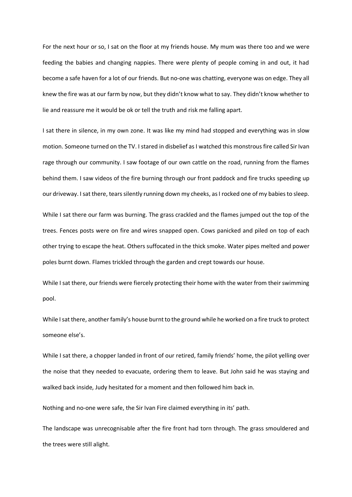For the next hour or so, I sat on the floor at my friends house. My mum was there too and we were feeding the babies and changing nappies. There were plenty of people coming in and out, it had become a safe haven for a lot of our friends. But no-one was chatting, everyone was on edge. They all knew the fire was at our farm by now, but they didn't know what to say. They didn't know whether to lie and reassure me it would be ok or tell the truth and risk me falling apart.

I sat there in silence, in my own zone. It was like my mind had stopped and everything was in slow motion. Someone turned on the TV. I stared in disbelief as I watched this monstrous fire called Sir Ivan rage through our community. I saw footage of our own cattle on the road, running from the flames behind them. I saw videos of the fire burning through our front paddock and fire trucks speeding up our driveway. I sat there, tears silently running down my cheeks, as I rocked one of my babies to sleep.

While I sat there our farm was burning. The grass crackled and the flames jumped out the top of the trees. Fences posts were on fire and wires snapped open. Cows panicked and piled on top of each other trying to escape the heat. Others suffocated in the thick smoke. Water pipes melted and power poles burnt down. Flames trickled through the garden and crept towards our house.

While I sat there, our friends were fiercely protecting their home with the water from their swimming pool.

While I sat there, another family's house burnt to the ground while he worked on a fire truck to protect someone else's.

While I sat there, a chopper landed in front of our retired, family friends' home, the pilot yelling over the noise that they needed to evacuate, ordering them to leave. But John said he was staying and walked back inside, Judy hesitated for a moment and then followed him back in.

Nothing and no-one were safe, the Sir Ivan Fire claimed everything in its' path.

The landscape was unrecognisable after the fire front had torn through. The grass smouldered and the trees were still alight.